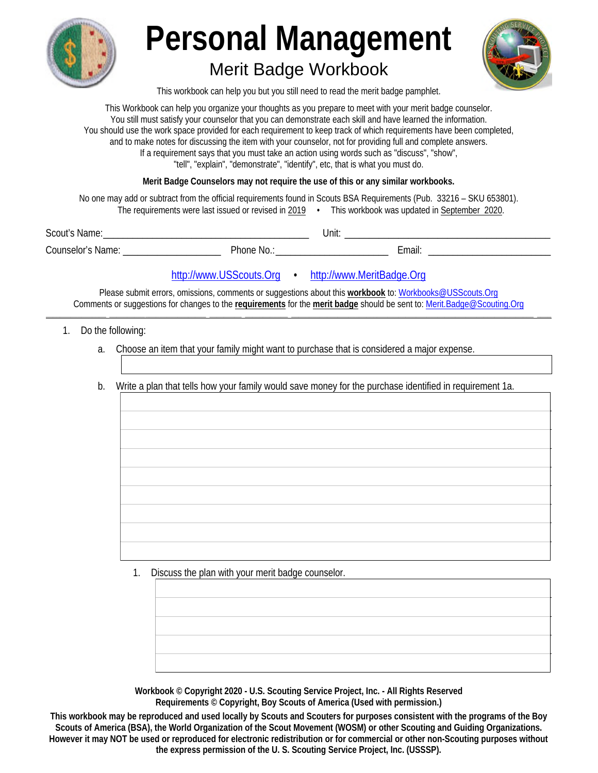

# **Merit Badge Workbook**



This workbook can help you but you still need to read the merit badge pamphlet.

This Workbook can help you organize your thoughts as you prepare to meet with your merit badge counselor. You still must satisfy your counselor that you can demonstrate each skill and have learned the information. You should use the work space provided for each requirement to keep track of which requirements have been completed, and to make notes for discussing the item with your counselor, not for providing full and complete answers. If a requirement says that you must take an action using words such as "discuss", "show", "tell", "explain", "demonstrate", "identify", etc, that is what you must do.

Merit Badge Counselors may not require the use of this or any similar workbooks.

No one may add or subtract from the official requirements found in Scouts BSA Requirements (Pub. 33216 - SKU 653801). The requirements were last issued or revised in 2019 • This workbook was updated in September 2020.

| Scout's<br>Name:         |          | Unit. |        |
|--------------------------|----------|-------|--------|
| <b>Counselor's Name:</b> | Phone No |       | ∠mail: |

http://www.USScouts.Org · http://www.MeritBadge.Org

Please submit errors, omissions, comments or suggestions about this workbook to: Workbooks@USScouts.Org Comments or suggestions for changes to the requirements for the merit badge should be sent to: Merit.Badge@Scouting.Org

- 1. Do the following:
	- a. Choose an item that your family might want to purchase that is considered a major expense.
	- b. Write a plan that tells how your family would save money for the purchase identified in requirement 1a.

1. Discuss the plan with your merit badge counselor.

Workbook © Copyright 2020 - U.S. Scouting Service Project, Inc. - All Rights Reserved Requirements © Copyright, Boy Scouts of America (Used with permission.)

This workbook may be reproduced and used locally by Scouts and Scouters for purposes consistent with the programs of the Boy Scouts of America (BSA), the World Organization of the Scout Movement (WOSM) or other Scouting and Guiding Organizations. However it may NOT be used or reproduced for electronic redistribution or for commercial or other non-Scouting purposes without the express permission of the U.S. Scouting Service Project, Inc. (USSSP).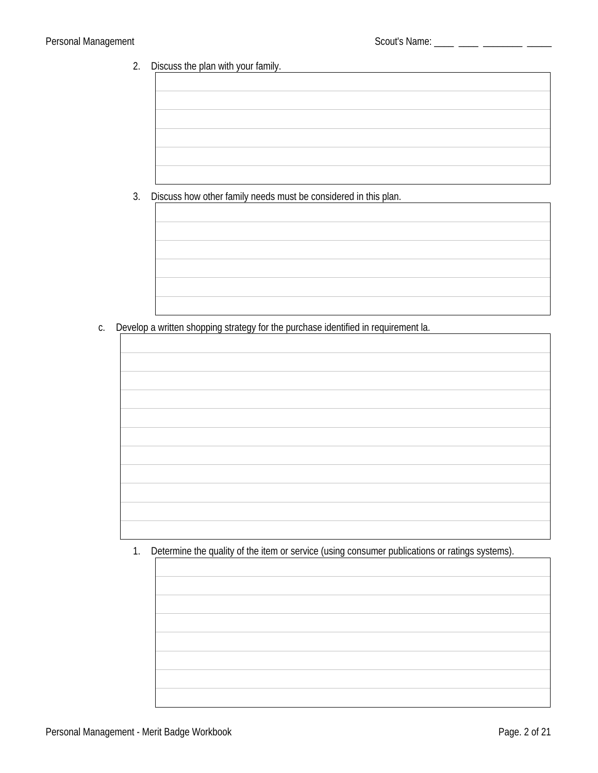<u>and the company of the company of the company of the company of the company of the company of the company of the company of the company of the company of the company of the company of the company of the company of the com</u>

#### 2. Discuss the plan with your family.

3. Discuss how other family needs must be considered in this plan.

c. Develop a written shopping strategy for the purchase identified in requirement la.

1. Determine the quality of the item or service (using consumer publications or ratings systems).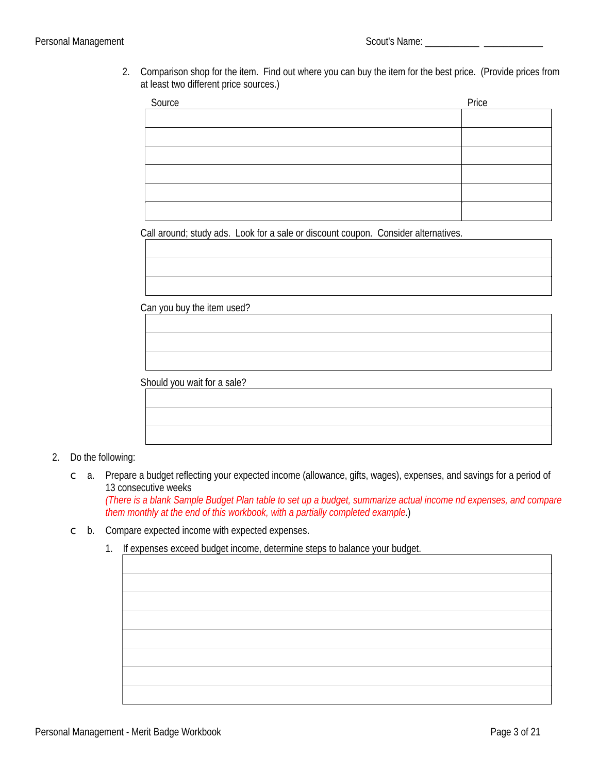2. Comparison shop for the item. Find out where you can buy the item for the best price. (Provide prices from at least two different price sources.)

| Source | Price |
|--------|-------|
|        |       |
|        |       |
|        |       |
|        |       |
|        |       |
|        |       |

Call around; study ads. Look for a sale or discount coupon. Consider alternatives.

Can you buy the item used?

Should you wait for a sale?

#### 2. Do the following:

c a. Prepare a budget reflecting your expected income (allowance, gifts, wages), expenses, and savings for a period of 13 consecutive weeks

(There is a blank Sample Budget Plan table to set up a budget, summarize actual income nd expenses, and compare them monthly at the end of this workbook, with a partially completed example.)

- $\circ$  b. Compare expected income with expected expenses.
	- 1. If expenses exceed budget income, determine steps to balance your budget.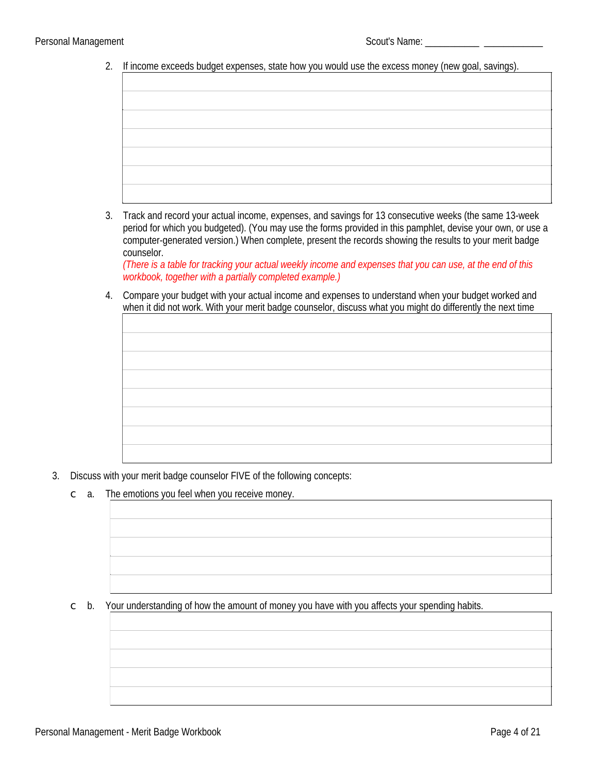2. If income exceeds budget expenses, state how you would use the excess money (new goal, savings).

3. Track and record your actual income, expenses, and savings for 13 consecutive weeks (the same 13-week period for which you budgeted). (You may use the forms provided in this pamphlet, devise your own, or use a computer-generated version.) When complete, present the records showing the results to your merit badge counselor.

(There is a table for tracking your actual weekly income and expenses that you can use, at the end of this workbook, together with a partially completed example.)

4. Compare your budget with your actual income and expenses to understand when your budget worked and when it did not work. With your merit badge counselor, discuss what you might do differently the next time

- 3. Discuss with your merit badge counselor FIVE of the following concepts:
	- $\circ$  a. The emotions you feel when you receive money.

 $\circ$  b. Your understanding of how the amount of money you have with you affects your spending habits.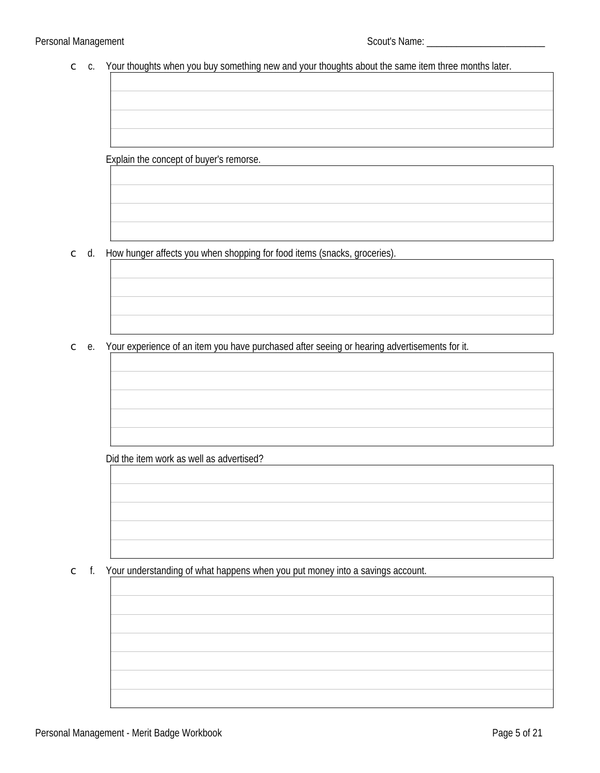#### $\epsilon$  c. Your thoughts when you buy something new and your thoughts about the same item three months later.

Explain the concept of buyer's remorse.

c d. How hunger affects you when shopping for food items (snacks, groceries).

 $\epsilon$  e. Your experience of an item you have purchased after seeing or hearing advertisements for it.

Did the item work as well as advertised?

 $\epsilon$  f. Your understanding of what happens when you put money into a savings account.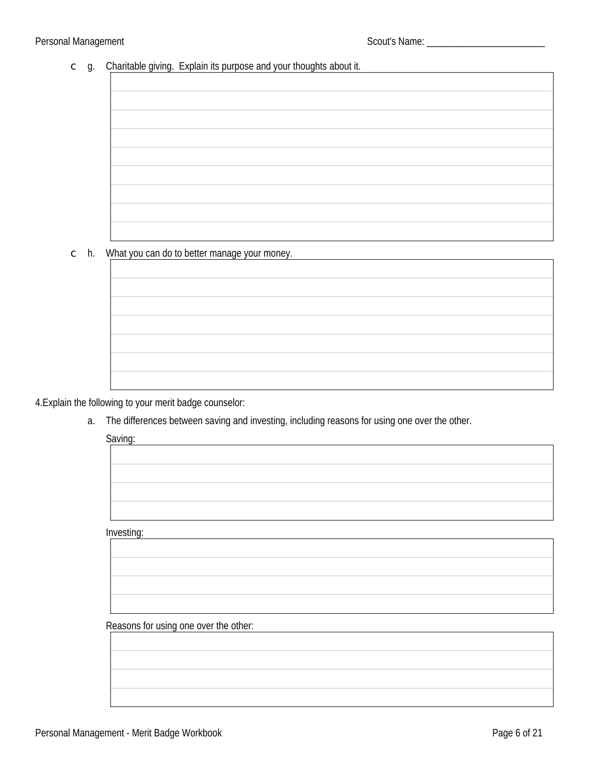#### $\circ$  g. Charitable giving. Explain its purpose and your thoughts about it.

#### $\subset$  h. What you can do to better manage your money.

4. Explain the following to your merit badge counselor:

a. The differences between saving and investing, including reasons for using one over the other.

Saving:

Investing:

Reasons for using one over the other: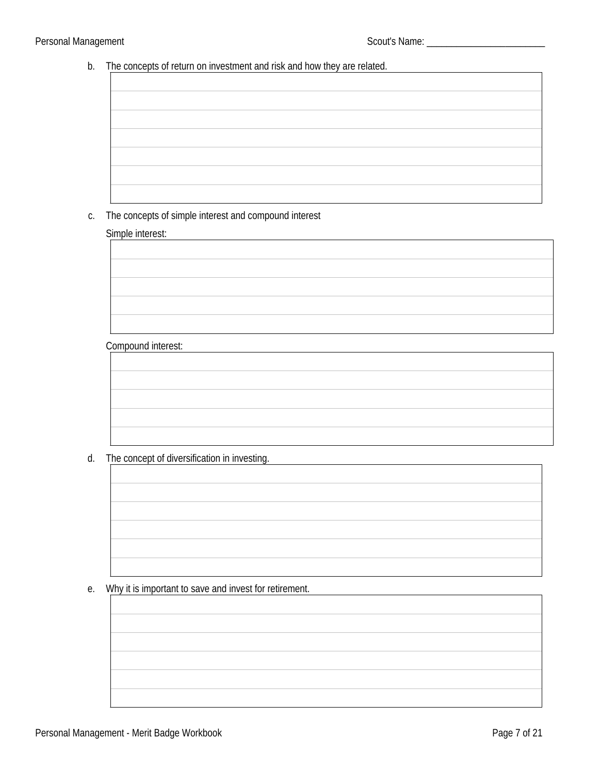#### b. The concepts of return on investment and risk and how they are related.

#### c. The concepts of simple interest and compound interest

#### Simple interest:

#### **Compound interest:**

### d. The concept of diversification in investing.

#### e. Why it is important to save and invest for retirement.

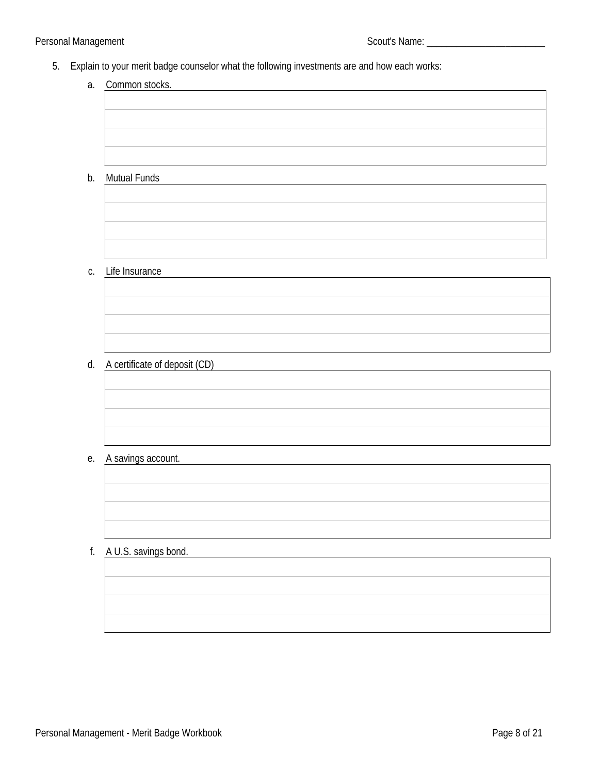- 5. Explain to your merit badge counselor what the following investments are and how each works:
	- a. Common stocks.

- b. Mutual Funds
- c. Life Insurance

d. A certificate of deposit (CD)

#### e. A savings account.

#### f. A U.S. savings bond.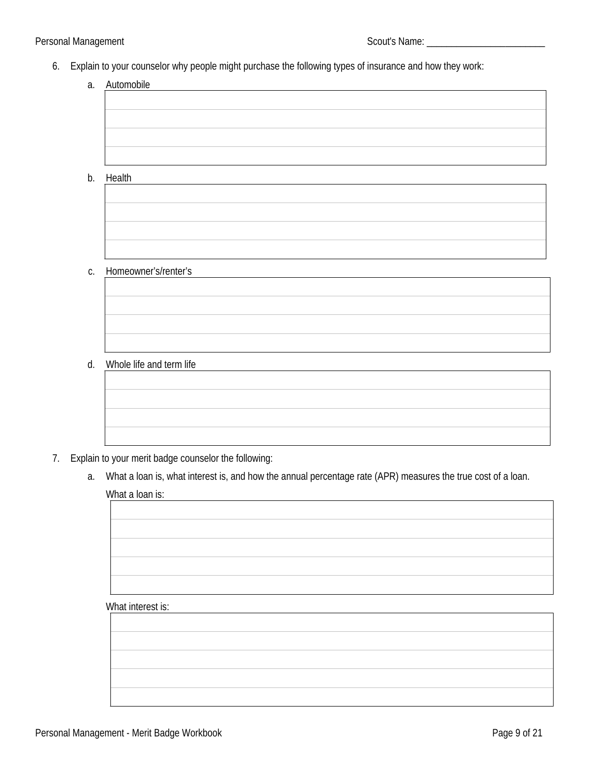- 6. Explain to your counselor why people might purchase the following types of insurance and how they work:
	- a. Automobile

b. Health

c. Homeowner's/renter's

d. Whole life and term life



- 7. Explain to your merit badge counselor the following:
	- a. What a loan is, what interest is, and how the annual percentage rate (APR) measures the true cost of a loan. What a loan is:

#### What interest is: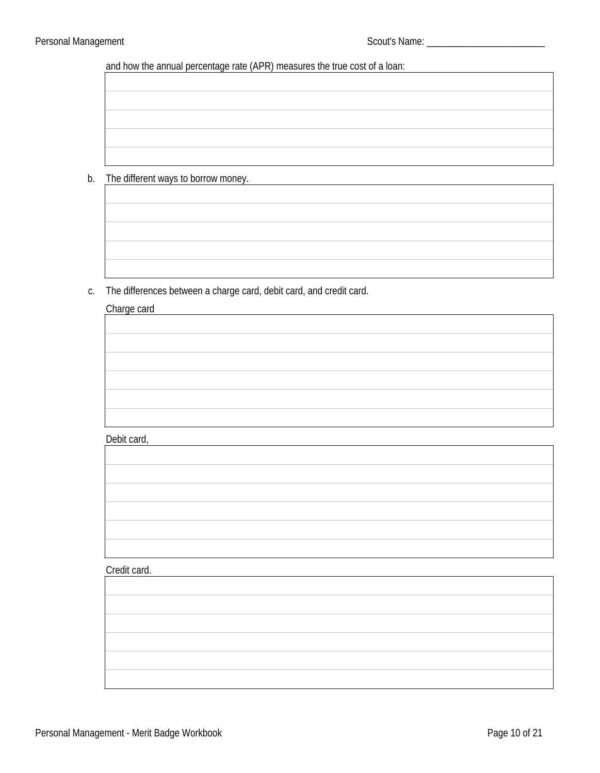and how the annual percentage rate (APR) measures the true cost of a loan:

b. The different ways to borrow money.

c. The differences between a charge card, debit card, and credit card.

#### Charge card

#### Debit card,

#### Credit card.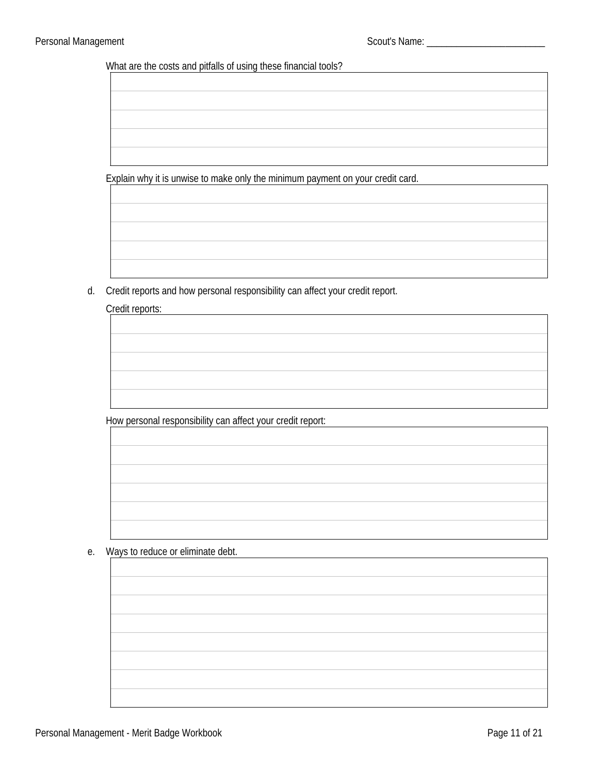What are the costs and pitfalls of using these financial tools?

Explain why it is unwise to make only the minimum payment on your credit card.

d. Credit reports and how personal responsibility can affect your credit report.

#### Credit reports:

How personal responsibility can affect your credit report:

e. Ways to reduce or eliminate debt.

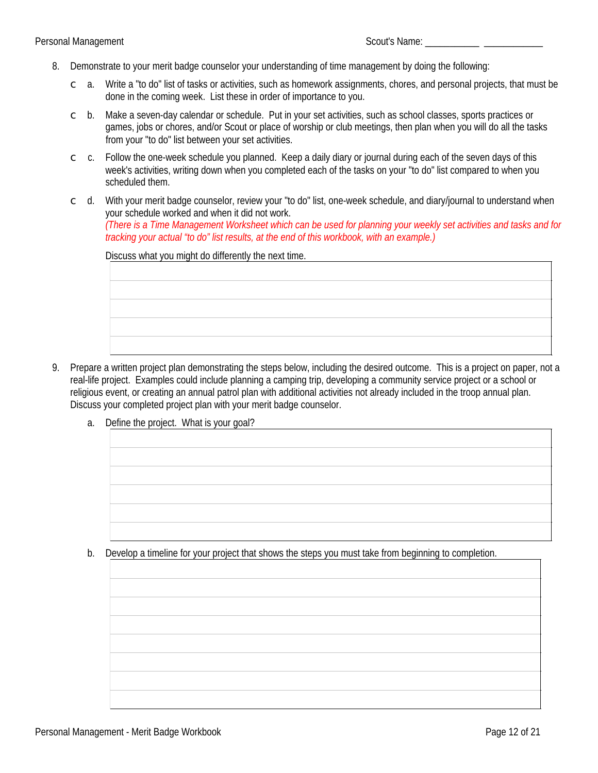- 8. Demonstrate to your merit badge counselor your understanding of time management by doing the following:
	- $\degree$  a. Write a "to do" list of tasks or activities, such as homework assignments, chores, and personal projects, that must be done in the coming week. List these in order of importance to you.
	- $\circ$  b. Make a seven-day calendar or schedule. Put in your set activities, such as school classes, sports practices or games, jobs or chores, and/or Scout or place of worship or club meetings, then plan when you will do all the tasks from your "to do" list between your set activities.
	- $\degree$  c. Follow the one-week schedule you planned. Keep a daily diary or journal during each of the seven days of this week's activities, writing down when you completed each of the tasks on your "to do" list compared to when you scheduled them.
	- $\degree$  d. With your merit badge counselor, review your "to do" list, one-week schedule, and diary/iournal to understand when your schedule worked and when it did not work. (There is a Time Management Worksheet which can be used for planning your weekly set activities and tasks and for tracking your actual "to do" list results, at the end of this workbook, with an example.)

Discuss what you might do differently the next time.

- 9. Prepare a written project plan demonstrating the steps below, including the desired outcome. This is a project on paper, not a real-life project. Examples could include planning a camping trip, developing a community service project or a school or religious event, or creating an annual patrol plan with additional activities not already included in the troop annual plan. Discuss your completed project plan with your merit badge counselor.
	- a. Define the project. What is your goal?

b. Develop a timeline for your project that shows the steps you must take from beginning to completion.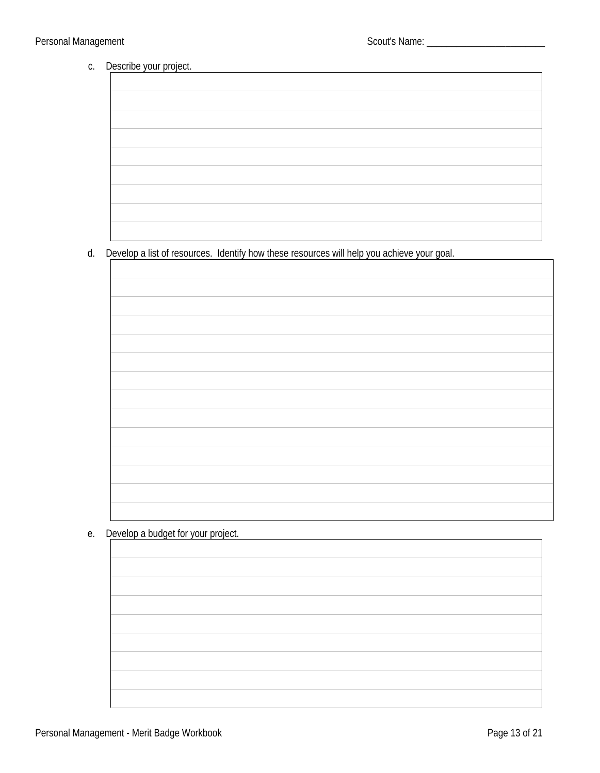#### c. Describe your project.

| the contract of the contract of the contract of the contract of the contract of                                       |  |
|-----------------------------------------------------------------------------------------------------------------------|--|
|                                                                                                                       |  |
|                                                                                                                       |  |
|                                                                                                                       |  |
| and the control of the control of the control of the control of the control of the control of the control of the      |  |
|                                                                                                                       |  |
|                                                                                                                       |  |
|                                                                                                                       |  |
| the contract of the contract of the contract of the contract of the contract of the contract of                       |  |
|                                                                                                                       |  |
|                                                                                                                       |  |
|                                                                                                                       |  |
|                                                                                                                       |  |
|                                                                                                                       |  |
|                                                                                                                       |  |
|                                                                                                                       |  |
|                                                                                                                       |  |
|                                                                                                                       |  |
|                                                                                                                       |  |
|                                                                                                                       |  |
|                                                                                                                       |  |
|                                                                                                                       |  |
|                                                                                                                       |  |
| <u> 1989 - Johann Stoff, deutscher Stoff, der Stoff, der Stoff, der Stoff, der Stoff, der Stoff, der Stoff, der S</u> |  |

### d. Develop a list of resources. Identify how these resources will help you achieve your goal.

<u> 1980 - Jan Stein Berlin, amerikan b</u>

e. Develop a budget for your project.

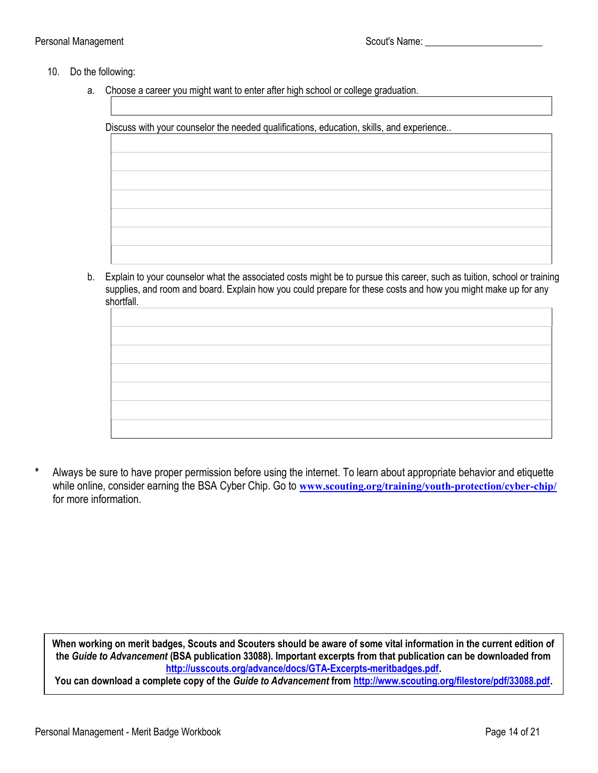#### Personal Management Name: 2008 Scout's Name: 2008

#### 10. Do the following:

a. Choose a career you might want to enter after high school or college graduation.

Discuss with your counselor the needed qualifications, education, skills, and experience..

 b. Explain to your counselor what the associated costs might be to pursue this career, such as tuition, school or training supplies, and room and board. Explain how you could prepare for these costs and how you might make up for any shortfall.

\* Always be sure to have proper permission before using the internet. To learn about appropriate behavior and etiquette while online, consider earning the BSA Cyber Chip. Go to www.scouting.org/training/youth-protection/cyber-chip/ for more information.

When working on merit badges, Scouts and Scouters should be aware of some vital information in the current edition of the Guide to Advancement (BSA publication 33088). Important excerpts from that publication can be downloaded from http://usscouts.org/advance/docs/GTA-Excerpts-meritbadges.pdf.

You can download a complete copy of the Guide to Advancement from http://www.scouting.org/filestore/pdf/33088.pdf.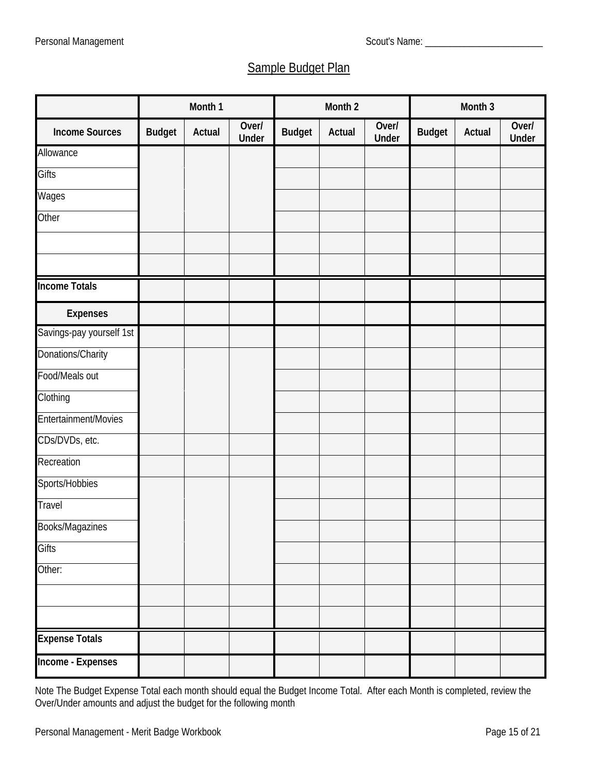# **Sample Budget Plan**

|                             |               | Month 1       |                       |               | Month 2       |                       |               | Month 3       |                       |
|-----------------------------|---------------|---------------|-----------------------|---------------|---------------|-----------------------|---------------|---------------|-----------------------|
| <b>Income Sources</b>       | <b>Budget</b> | <b>Actual</b> | Over/<br><b>Under</b> | <b>Budget</b> | <b>Actual</b> | Over/<br><b>Under</b> | <b>Budget</b> | <b>Actual</b> | Over/<br><b>Under</b> |
| <b>Allowance</b>            |               |               |                       |               |               |                       |               |               |                       |
| <b>Gifts</b>                |               |               |                       |               |               |                       |               |               |                       |
| <b>Wages</b>                |               |               |                       |               |               |                       |               |               |                       |
| <b>Other</b>                |               |               |                       |               |               |                       |               |               |                       |
|                             |               |               |                       |               |               |                       |               |               |                       |
|                             |               |               |                       |               |               |                       |               |               |                       |
| <b>Income Totals</b>        |               |               |                       |               |               |                       |               |               |                       |
| <b>Expenses</b>             |               |               |                       |               |               |                       |               |               |                       |
| Savings-pay yourself 1st    |               |               |                       |               |               |                       |               |               |                       |
| <b>Donations/Charity</b>    |               |               |                       |               |               |                       |               |               |                       |
| <b>Food/Meals out</b>       |               |               |                       |               |               |                       |               |               |                       |
| <b>Clothing</b>             |               |               |                       |               |               |                       |               |               |                       |
| <b>Entertainment/Movies</b> |               |               |                       |               |               |                       |               |               |                       |
| CDs/DVDs, etc.              |               |               |                       |               |               |                       |               |               |                       |
| <b>Recreation</b>           |               |               |                       |               |               |                       |               |               |                       |
| <b>Sports/Hobbies</b>       |               |               |                       |               |               |                       |               |               |                       |
| <b>Travel</b>               |               |               |                       |               |               |                       |               |               |                       |
| <b>Books/Magazines</b>      |               |               |                       |               |               |                       |               |               |                       |
| <b>Gifts</b>                |               |               |                       |               |               |                       |               |               |                       |
| Other:                      |               |               |                       |               |               |                       |               |               |                       |
|                             |               |               |                       |               |               |                       |               |               |                       |
|                             |               |               |                       |               |               |                       |               |               |                       |
| <b>Expense Totals</b>       |               |               |                       |               |               |                       |               |               |                       |
| <b>Income - Expenses</b>    |               |               |                       |               |               |                       |               |               |                       |

Note The Budget Expense Total each month should equal the Budget Income Total. After each Month is completed, review the Over/Under amounts and adjust the budget for the following month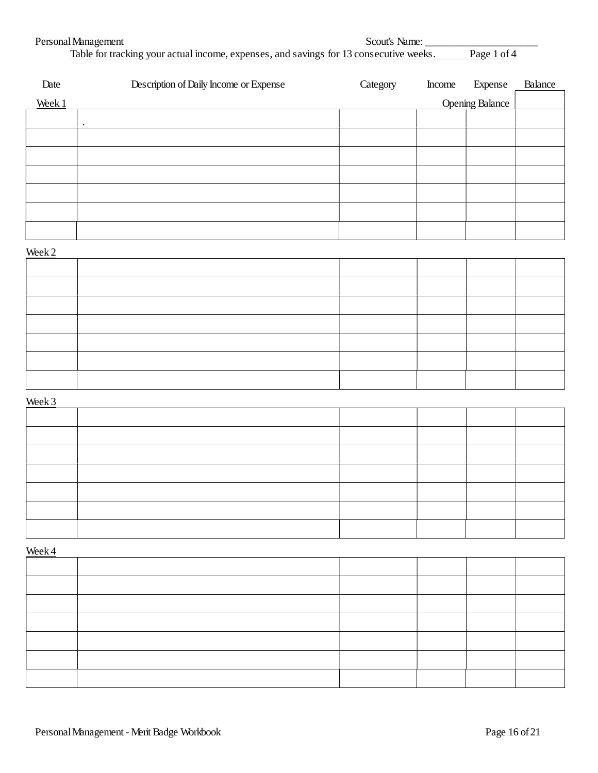| Personal Management  |                                                                                        | Scout's Name: |        |                        |         |  |
|----------------------|----------------------------------------------------------------------------------------|---------------|--------|------------------------|---------|--|
|                      | Table for tracking your actual income, expenses, and savings for 13 consecutive weeks. |               |        | Page 1 of 4            |         |  |
| Date                 | Description of Daily Income or Expense                                                 | Category      | Income | Expense                | Balance |  |
| Week 1               |                                                                                        |               |        | <b>Opening Balance</b> |         |  |
| $\ddot{\phantom{0}}$ |                                                                                        |               |        |                        |         |  |
|                      |                                                                                        |               |        |                        |         |  |
|                      |                                                                                        |               |        |                        |         |  |
|                      |                                                                                        |               |        |                        |         |  |
|                      |                                                                                        |               |        |                        |         |  |
|                      |                                                                                        |               |        |                        |         |  |
|                      |                                                                                        |               |        |                        |         |  |
| Week 2               |                                                                                        |               |        |                        |         |  |
|                      |                                                                                        |               |        |                        |         |  |
|                      |                                                                                        |               |        |                        |         |  |
|                      |                                                                                        |               |        |                        |         |  |
|                      |                                                                                        |               |        |                        |         |  |
|                      |                                                                                        |               |        |                        |         |  |
|                      |                                                                                        |               |        |                        |         |  |
|                      |                                                                                        |               |        |                        |         |  |
|                      |                                                                                        |               |        |                        |         |  |
| Week 3               |                                                                                        |               |        |                        |         |  |
|                      |                                                                                        |               |        |                        |         |  |
|                      |                                                                                        |               |        |                        |         |  |
|                      |                                                                                        |               |        |                        |         |  |
|                      |                                                                                        |               |        |                        |         |  |
|                      |                                                                                        |               |        |                        |         |  |
|                      |                                                                                        |               |        |                        |         |  |
|                      |                                                                                        |               |        |                        |         |  |
| Week 4               |                                                                                        |               |        |                        |         |  |
|                      |                                                                                        |               |        |                        |         |  |
|                      |                                                                                        |               |        |                        |         |  |
|                      |                                                                                        |               |        |                        |         |  |
|                      |                                                                                        |               |        |                        |         |  |
|                      |                                                                                        |               |        |                        |         |  |
|                      |                                                                                        |               |        |                        |         |  |
|                      |                                                                                        |               |        |                        |         |  |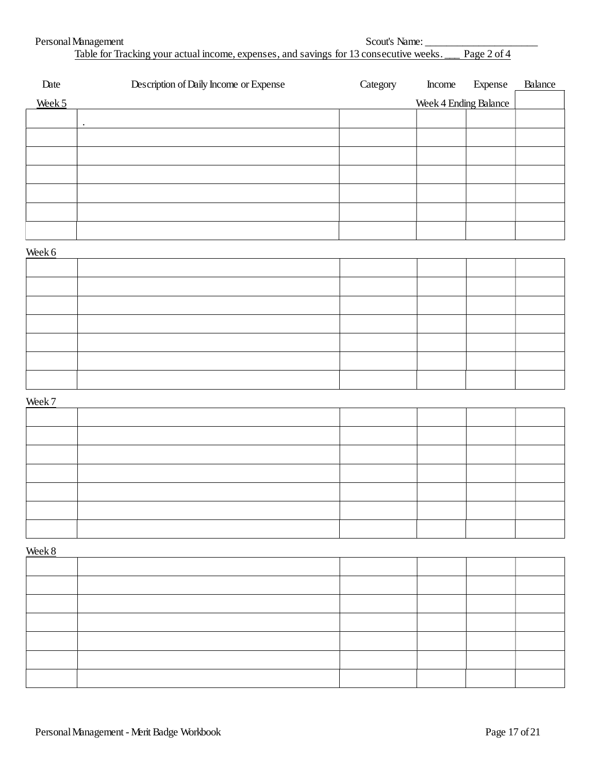| Personal Management                                                                    | Scout's Name: |
|----------------------------------------------------------------------------------------|---------------|
| Table for Tracking your actual income, expenses, and savings for 13 consecutive weeks. | Page 2 of 4   |

| Date   | Description of Daily Income or Expense | Category | Income                       | Expense | <b>Balance</b> |
|--------|----------------------------------------|----------|------------------------------|---------|----------------|
| Week 5 |                                        |          | <b>Week 4 Ending Balance</b> |         |                |
|        | $\bullet$                              |          |                              |         |                |
|        |                                        |          |                              |         |                |
|        |                                        |          |                              |         |                |
|        |                                        |          |                              |         |                |
|        |                                        |          |                              |         |                |
|        |                                        |          |                              |         |                |
|        |                                        |          |                              |         |                |
| Week 6 |                                        |          |                              |         |                |
|        |                                        |          |                              |         |                |
|        |                                        |          |                              |         |                |
|        |                                        |          |                              |         |                |
|        |                                        |          |                              |         |                |
|        |                                        |          |                              |         |                |
|        |                                        |          |                              |         |                |
|        |                                        |          |                              |         |                |
| Week 7 |                                        |          |                              |         |                |
|        |                                        |          |                              |         |                |
|        |                                        |          |                              |         |                |
|        |                                        |          |                              |         |                |
|        |                                        |          |                              |         |                |
|        |                                        |          |                              |         |                |
|        |                                        |          |                              |         |                |
|        |                                        |          |                              |         |                |
| Week 8 |                                        |          |                              |         |                |
|        |                                        |          |                              |         |                |
|        |                                        |          |                              |         |                |
|        |                                        |          |                              |         |                |
|        |                                        |          |                              |         |                |
|        |                                        |          |                              |         |                |
|        |                                        |          |                              |         |                |
|        |                                        |          |                              |         |                |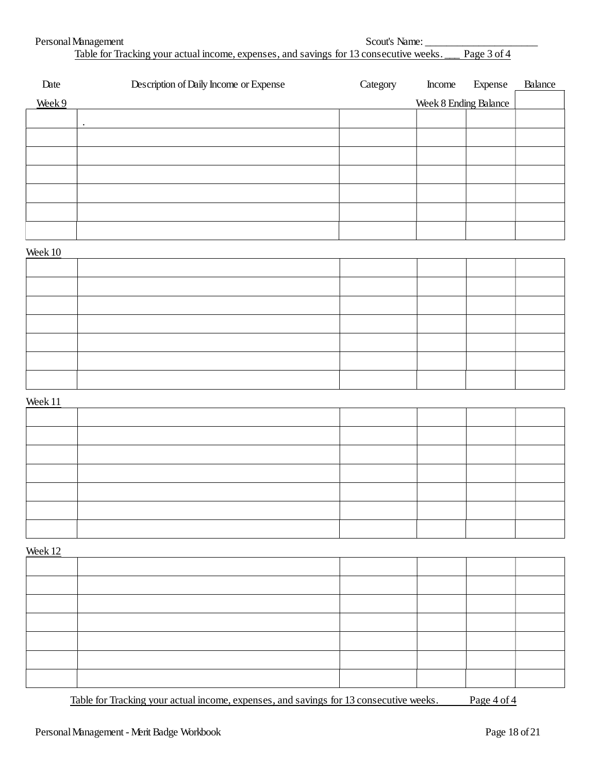| Personal Management                                                                                | Scout's Name: |  |
|----------------------------------------------------------------------------------------------------|---------------|--|
| Table for Tracking your actual income, expenses, and savings for 13 consecutive weeks. Page 3 of 4 |               |  |

| Date    | Description of Daily Income or Expense | Category | <b>Income</b>                | Expense | <b>Balance</b> |
|---------|----------------------------------------|----------|------------------------------|---------|----------------|
| Week 9  |                                        |          | <b>Week 8 Ending Balance</b> |         |                |
|         | $\bullet$                              |          |                              |         |                |
|         |                                        |          |                              |         |                |
|         |                                        |          |                              |         |                |
|         |                                        |          |                              |         |                |
|         |                                        |          |                              |         |                |
|         |                                        |          |                              |         |                |
|         |                                        |          |                              |         |                |
| Week 10 |                                        |          |                              |         |                |
|         |                                        |          |                              |         |                |
|         |                                        |          |                              |         |                |
|         |                                        |          |                              |         |                |
|         |                                        |          |                              |         |                |
|         |                                        |          |                              |         |                |
|         |                                        |          |                              |         |                |
|         |                                        |          |                              |         |                |
| Week 11 |                                        |          |                              |         |                |
|         |                                        |          |                              |         |                |
|         |                                        |          |                              |         |                |
|         |                                        |          |                              |         |                |
|         |                                        |          |                              |         |                |
|         |                                        |          |                              |         |                |
|         |                                        |          |                              |         |                |
|         |                                        |          |                              |         |                |
| Week 12 |                                        |          |                              |         |                |
|         |                                        |          |                              |         |                |
|         |                                        |          |                              |         |                |
|         |                                        |          |                              |         |                |
|         |                                        |          |                              |         |                |
|         |                                        |          |                              |         |                |
|         |                                        |          |                              |         |                |
|         |                                        |          |                              |         |                |

Table for Tracking your actual income, expenses, and savings for 13 consecutive weeks. Page 4 of 4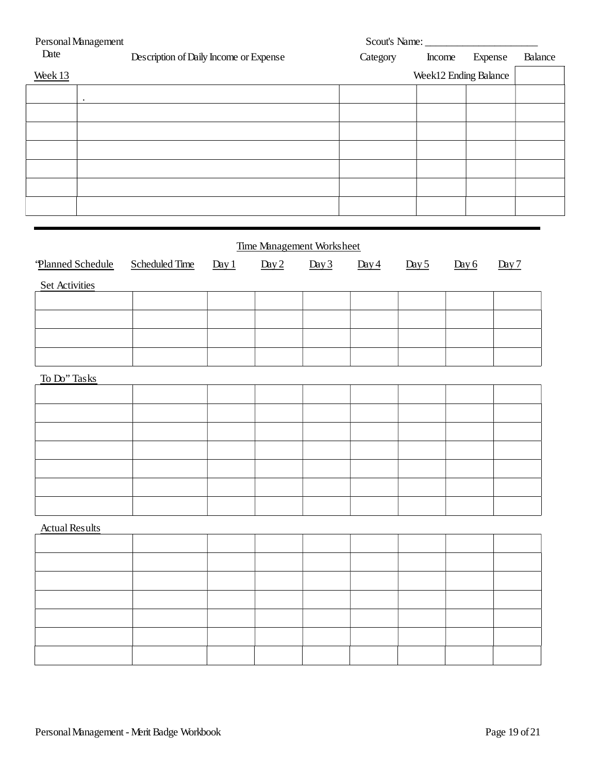| Personal Management   |           |                                        |       |                     | Scout's Name:                    |                       |                     |       |         |       |         |
|-----------------------|-----------|----------------------------------------|-------|---------------------|----------------------------------|-----------------------|---------------------|-------|---------|-------|---------|
| Date                  |           | Description of Daily Income or Expense |       |                     |                                  | Category              | Income              |       | Expense |       | Balance |
| Week 13               |           |                                        |       |                     |                                  | Week12 Ending Balance |                     |       |         |       |         |
|                       |           |                                        |       |                     |                                  |                       |                     |       |         |       |         |
|                       | $\bullet$ |                                        |       |                     |                                  |                       |                     |       |         |       |         |
|                       |           |                                        |       |                     |                                  |                       |                     |       |         |       |         |
|                       |           |                                        |       |                     |                                  |                       |                     |       |         |       |         |
|                       |           |                                        |       |                     |                                  |                       |                     |       |         |       |         |
|                       |           |                                        |       |                     |                                  |                       |                     |       |         |       |         |
|                       |           |                                        |       |                     |                                  |                       |                     |       |         |       |         |
|                       |           |                                        |       |                     |                                  |                       |                     |       |         |       |         |
|                       |           |                                        |       |                     |                                  |                       |                     |       |         |       |         |
|                       |           |                                        |       |                     |                                  |                       |                     |       |         |       |         |
|                       |           |                                        |       |                     | <b>Time Management Worksheet</b> |                       |                     |       |         |       |         |
| 'Planned Schedule     |           | <b>Scheduled Time</b>                  | Day 1 | $\underline{Day 2}$ | Day 3                            | Day 4                 | $\underline{Day 5}$ | Day 6 |         | Day 7 |         |
|                       |           |                                        |       |                     |                                  |                       |                     |       |         |       |         |
| <b>Set Activities</b> |           |                                        |       |                     |                                  |                       |                     |       |         |       |         |
|                       |           |                                        |       |                     |                                  |                       |                     |       |         |       |         |
|                       |           |                                        |       |                     |                                  |                       |                     |       |         |       |         |
|                       |           |                                        |       |                     |                                  |                       |                     |       |         |       |         |
|                       |           |                                        |       |                     |                                  |                       |                     |       |         |       |         |
|                       |           |                                        |       |                     |                                  |                       |                     |       |         |       |         |
| To Do" Tasks          |           |                                        |       |                     |                                  |                       |                     |       |         |       |         |
|                       |           |                                        |       |                     |                                  |                       |                     |       |         |       |         |
|                       |           |                                        |       |                     |                                  |                       |                     |       |         |       |         |
|                       |           |                                        |       |                     |                                  |                       |                     |       |         |       |         |
|                       |           |                                        |       |                     |                                  |                       |                     |       |         |       |         |
|                       |           |                                        |       |                     |                                  |                       |                     |       |         |       |         |
|                       |           |                                        |       |                     |                                  |                       |                     |       |         |       |         |
|                       |           |                                        |       |                     |                                  |                       |                     |       |         |       |         |
|                       |           |                                        |       |                     |                                  |                       |                     |       |         |       |         |
| <b>Actual Results</b> |           |                                        |       |                     |                                  |                       |                     |       |         |       |         |
|                       |           |                                        |       |                     |                                  |                       |                     |       |         |       |         |
|                       |           |                                        |       |                     |                                  |                       |                     |       |         |       |         |
|                       |           |                                        |       |                     |                                  |                       |                     |       |         |       |         |
|                       |           |                                        |       |                     |                                  |                       |                     |       |         |       |         |
|                       |           |                                        |       |                     |                                  |                       |                     |       |         |       |         |
|                       |           |                                        |       |                     |                                  |                       |                     |       |         |       |         |
|                       |           |                                        |       |                     |                                  |                       |                     |       |         |       |         |
|                       |           |                                        |       |                     |                                  |                       |                     |       |         |       |         |
|                       |           |                                        |       |                     |                                  |                       |                     |       |         |       |         |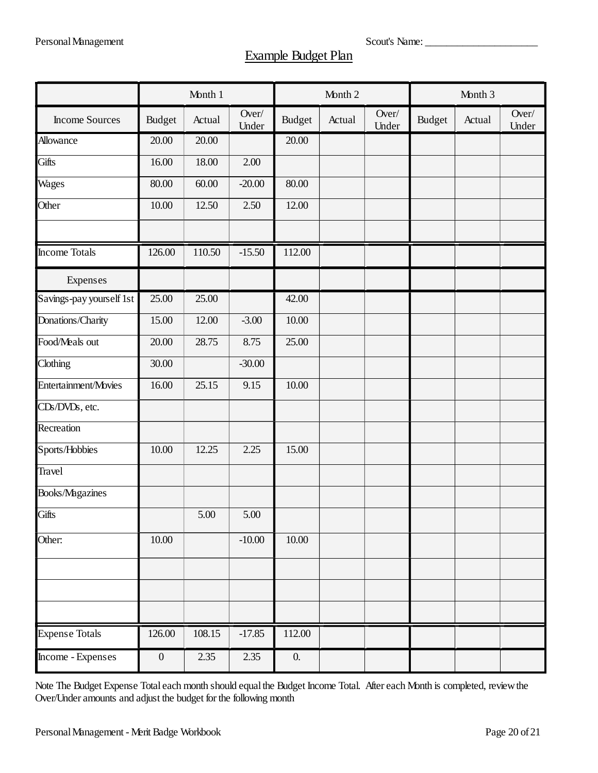# **Example Budget Plan**

|                          |                  | Month 1 |                |               | Month 2 |                | Month 3       |        |                |  |
|--------------------------|------------------|---------|----------------|---------------|---------|----------------|---------------|--------|----------------|--|
| <b>Income Sources</b>    | <b>Budget</b>    | Actual  | Over/<br>Under | <b>Budget</b> | Actual  | Over/<br>Under | <b>Budget</b> | Actual | Over/<br>Under |  |
| Allowance                | 20.00            | 20.00   |                | 20.00         |         |                |               |        |                |  |
| Gifts                    | 16.00            | 18.00   | 2.00           |               |         |                |               |        |                |  |
| Wages                    | 80.00            | 60.00   | $-20.00$       | 80.00         |         |                |               |        |                |  |
| Other                    | 10.00            | 12.50   | 2.50           | 12.00         |         |                |               |        |                |  |
| <b>Income Totals</b>     | 126.00           | 110.50  | $-15.50$       | 112.00        |         |                |               |        |                |  |
| Expenses                 |                  |         |                |               |         |                |               |        |                |  |
| Savings-pay yourself 1st | 25.00            | 25.00   |                | 42.00         |         |                |               |        |                |  |
| Donations/Charity        | 15.00            | 12.00   | $-3.00$        | 10.00         |         |                |               |        |                |  |
| Food/Meals out           | 20.00            | 28.75   | 8.75           | 25.00         |         |                |               |        |                |  |
| Clothing                 | 30.00            |         | $-30.00$       |               |         |                |               |        |                |  |
| Entertainment/Movies     | 16.00            | 25.15   | 9.15           | 10.00         |         |                |               |        |                |  |
| CDs/DVDs, etc.           |                  |         |                |               |         |                |               |        |                |  |
| Recreation               |                  |         |                |               |         |                |               |        |                |  |
| Sports/Hobbies           | 10.00            | 12.25   | 2.25           | 15.00         |         |                |               |        |                |  |
| <b>Travel</b>            |                  |         |                |               |         |                |               |        |                |  |
| Books/Magazines          |                  |         |                |               |         |                |               |        |                |  |
| Gifts                    |                  | 5.00    | 5.00           |               |         |                |               |        |                |  |
| Other:                   | 10.00            |         | $-10.00$       | 10.00         |         |                |               |        |                |  |
|                          |                  |         |                |               |         |                |               |        |                |  |
|                          |                  |         |                |               |         |                |               |        |                |  |
|                          |                  |         |                |               |         |                |               |        |                |  |
| <b>Expense Totals</b>    | 126.00           | 108.15  | $-17.85$       | 112.00        |         |                |               |        |                |  |
| Income - Expenses        | $\boldsymbol{0}$ | 2.35    | 2.35           | 0.            |         |                |               |        |                |  |

Note The Budget Expense Total each month should equal the Budget Income Total. After each Month is completed, review the Over/Under amounts and adjust the budget for the following month